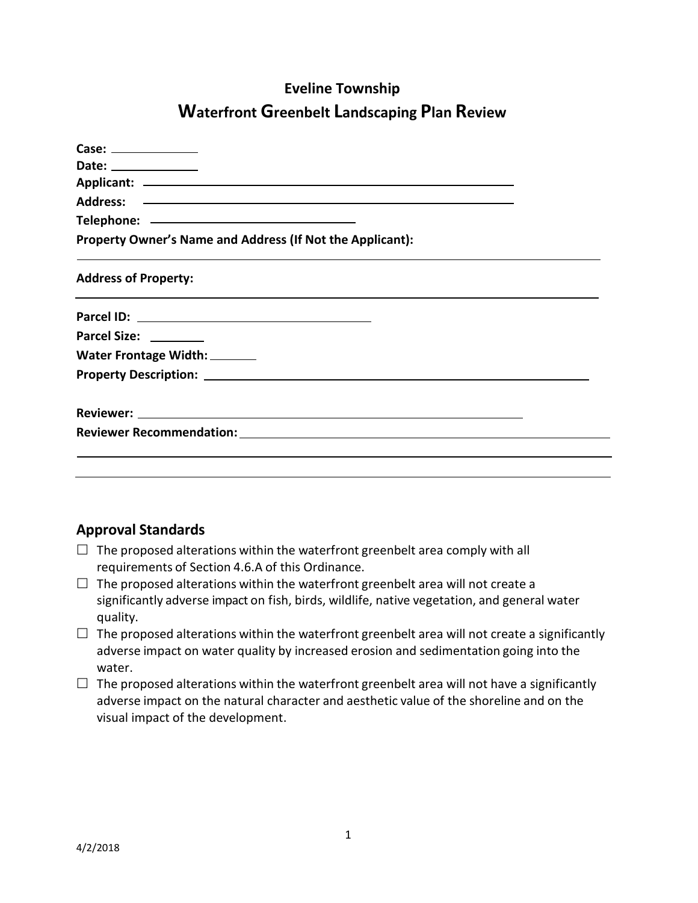# **Eveline Township Waterfront Greenbelt Landscaping Plan Review**

| Case: _______________                                     |
|-----------------------------------------------------------|
| Date: _______________                                     |
|                                                           |
|                                                           |
|                                                           |
| Property Owner's Name and Address (If Not the Applicant): |
| <b>Address of Property:</b>                               |
|                                                           |
| Parcel Size: ________                                     |
| Water Frontage Width: _______                             |
|                                                           |
|                                                           |
|                                                           |
|                                                           |
|                                                           |
|                                                           |

## **Approval Standards**

- $\Box$  The proposed alterations within the waterfront greenbelt area comply with all requirements of Section 4.6.A of this Ordinance.
- $\Box$  The proposed alterations within the waterfront greenbelt area will not create a significantly adverse impact on fish, birds, wildlife, native vegetation, and general water quality.
- $\Box$  The proposed alterations within the waterfront greenbelt area will not create a significantly adverse impact on water quality by increased erosion and sedimentation going into the water.
- $\Box$  The proposed alterations within the waterfront greenbelt area will not have a significantly adverse impact on the natural character and aesthetic value of the shoreline and on the visual impact of the development.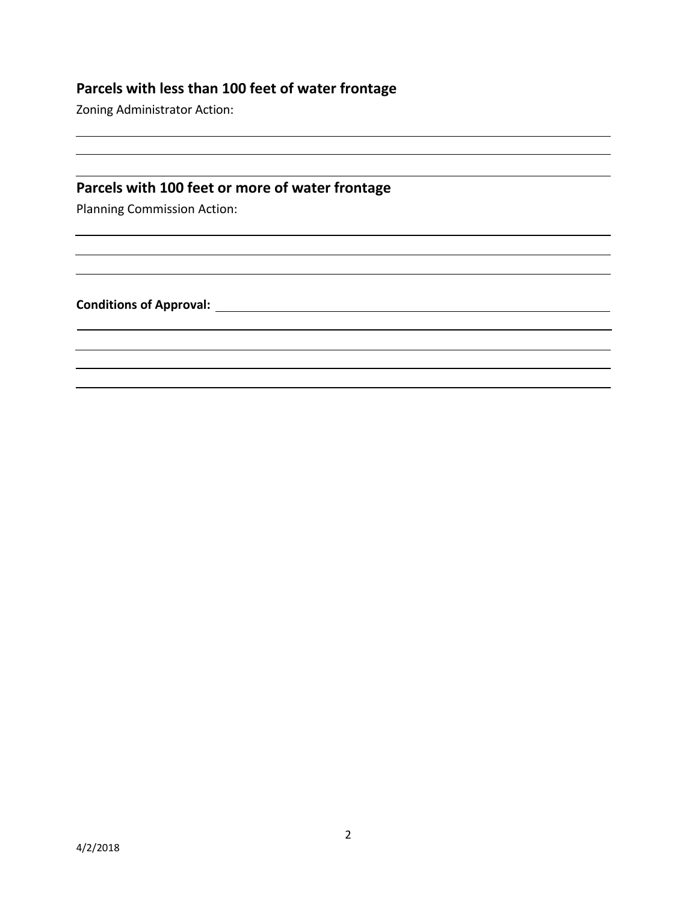#### **Parcels with less than 100 feet of water frontage**

Zoning Administrator Action:

#### **Parcels with 100 feet or more of water frontage**

Planning Commission Action:

**Conditions of Approval:**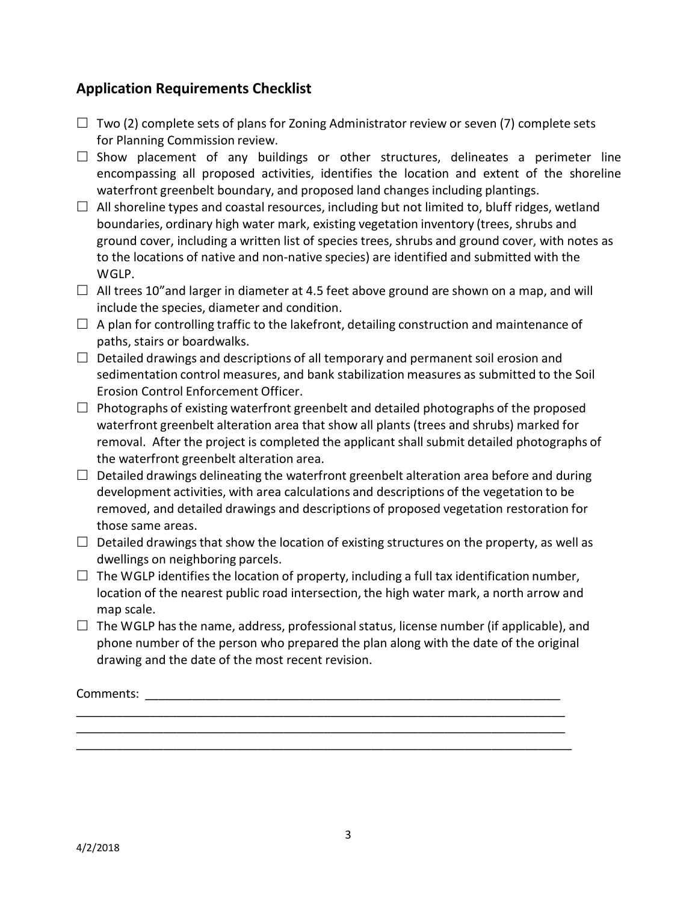### **Application Requirements Checklist**

- $\Box$  Two (2) complete sets of plans for Zoning Administrator review or seven (7) complete sets for Planning Commission review.
- $\Box$  Show placement of any buildings or other structures, delineates a perimeter line encompassing all proposed activities, identifies the location and extent of the shoreline waterfront greenbelt boundary, and proposed land changes including plantings.
- $\Box$  All shoreline types and coastal resources, including but not limited to, bluff ridges, wetland boundaries, ordinary high water mark, existing vegetation inventory (trees, shrubs and ground cover, including a written list of species trees, shrubs and ground cover, with notes as to the locations of native and non-native species) are identified and submitted with the WGLP.
- $\Box$  All trees 10" and larger in diameter at 4.5 feet above ground are shown on a map, and will include the species, diameter and condition.
- $\Box$  A plan for controlling traffic to the lakefront, detailing construction and maintenance of paths, stairs or boardwalks.
- $\Box$  Detailed drawings and descriptions of all temporary and permanent soil erosion and sedimentation control measures, and bank stabilization measures as submitted to the Soil Erosion Control Enforcement Officer.
- $\Box$  Photographs of existing waterfront greenbelt and detailed photographs of the proposed waterfront greenbelt alteration area that show all plants (trees and shrubs) marked for removal. After the project is completed the applicant shall submit detailed photographs of the waterfront greenbelt alteration area.
- $\Box$  Detailed drawings delineating the waterfront greenbelt alteration area before and during development activities, with area calculations and descriptions of the vegetation to be removed, and detailed drawings and descriptions of proposed vegetation restoration for those same areas.
- $\Box$  Detailed drawings that show the location of existing structures on the property, as well as dwellings on neighboring parcels.
- $\Box$  The WGLP identifies the location of property, including a full tax identification number, location of the nearest public road intersection, the high water mark, a north arrow and map scale.
- $\Box$  The WGLP has the name, address, professional status, license number (if applicable), and phone number of the person who prepared the plan along with the date of the original drawing and the date of the most recent revision.

\_\_\_\_\_\_\_\_\_\_\_\_\_\_\_\_\_\_\_\_\_\_\_\_\_\_\_\_\_\_\_\_\_\_\_\_\_\_\_\_\_\_\_\_\_\_\_\_\_\_\_\_\_\_\_\_\_\_\_\_\_\_\_\_\_\_\_\_\_\_\_\_\_ \_\_\_\_\_\_\_\_\_\_\_\_\_\_\_\_\_\_\_\_\_\_\_\_\_\_\_\_\_\_\_\_\_\_\_\_\_\_\_\_\_\_\_\_\_\_\_\_\_\_\_\_\_\_\_\_\_\_\_\_\_\_\_\_\_\_\_\_\_\_\_\_\_ \_\_\_\_\_\_\_\_\_\_\_\_\_\_\_\_\_\_\_\_\_\_\_\_\_\_\_\_\_\_\_\_\_\_\_\_\_\_\_\_\_\_\_\_\_\_\_\_\_\_\_\_\_\_\_\_\_\_\_\_\_\_\_\_\_\_\_\_\_\_\_\_\_\_

Comments: \_\_\_\_\_\_\_\_\_\_\_\_\_\_\_\_\_\_\_\_\_\_\_\_\_\_\_\_\_\_\_\_\_\_\_\_\_\_\_\_\_\_\_\_\_\_\_\_\_\_\_\_\_\_\_\_\_\_\_\_\_\_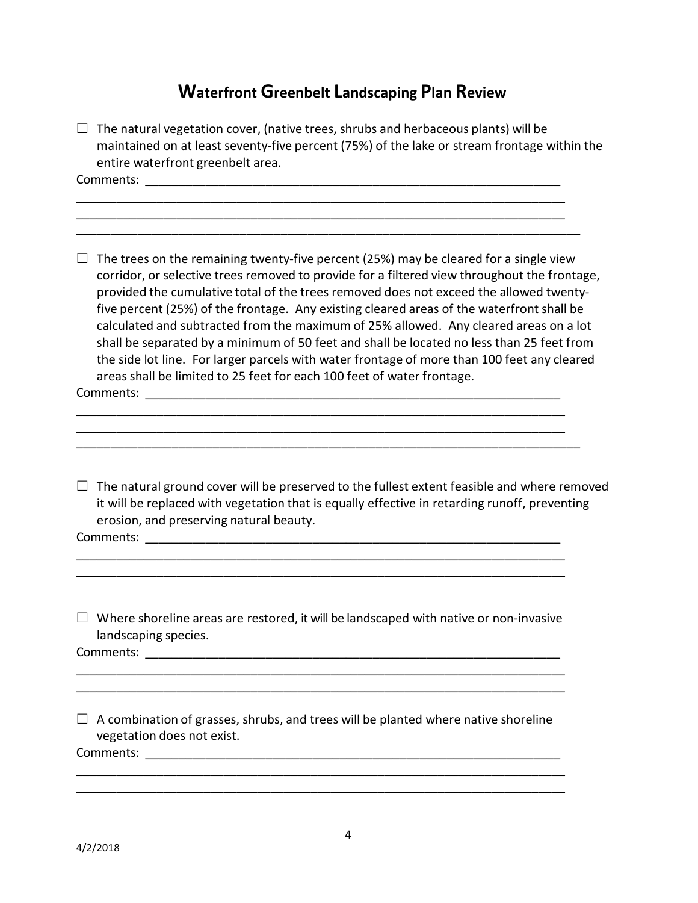# **Waterfront Greenbelt Landscaping Plan Review**

|   | $\Box$ The natural vegetation cover, (native trees, shrubs and herbaceous plants) will be<br>maintained on at least seventy-five percent (75%) of the lake or stream frontage within the<br>entire waterfront greenbelt area.                                                                                                                                                                                                                                                                                                                                                                                                                                                                                                               |
|---|---------------------------------------------------------------------------------------------------------------------------------------------------------------------------------------------------------------------------------------------------------------------------------------------------------------------------------------------------------------------------------------------------------------------------------------------------------------------------------------------------------------------------------------------------------------------------------------------------------------------------------------------------------------------------------------------------------------------------------------------|
|   |                                                                                                                                                                                                                                                                                                                                                                                                                                                                                                                                                                                                                                                                                                                                             |
|   | The trees on the remaining twenty-five percent (25%) may be cleared for a single view<br>corridor, or selective trees removed to provide for a filtered view throughout the frontage,<br>provided the cumulative total of the trees removed does not exceed the allowed twenty-<br>five percent (25%) of the frontage. Any existing cleared areas of the waterfront shall be<br>calculated and subtracted from the maximum of 25% allowed. Any cleared areas on a lot<br>shall be separated by a minimum of 50 feet and shall be located no less than 25 feet from<br>the side lot line. For larger parcels with water frontage of more than 100 feet any cleared<br>areas shall be limited to 25 feet for each 100 feet of water frontage. |
|   | Comments:                                                                                                                                                                                                                                                                                                                                                                                                                                                                                                                                                                                                                                                                                                                                   |
|   | $\Box$ The natural ground cover will be preserved to the fullest extent feasible and where removed<br>it will be replaced with vegetation that is equally effective in retarding runoff, preventing<br>erosion, and preserving natural beauty.<br>Comments: and the comments:                                                                                                                                                                                                                                                                                                                                                                                                                                                               |
|   | Where shoreline areas are restored, it will be landscaped with native or non-invasive<br>landscaping species.                                                                                                                                                                                                                                                                                                                                                                                                                                                                                                                                                                                                                               |
| П | A combination of grasses, shrubs, and trees will be planted where native shoreline<br>vegetation does not exist.                                                                                                                                                                                                                                                                                                                                                                                                                                                                                                                                                                                                                            |
|   |                                                                                                                                                                                                                                                                                                                                                                                                                                                                                                                                                                                                                                                                                                                                             |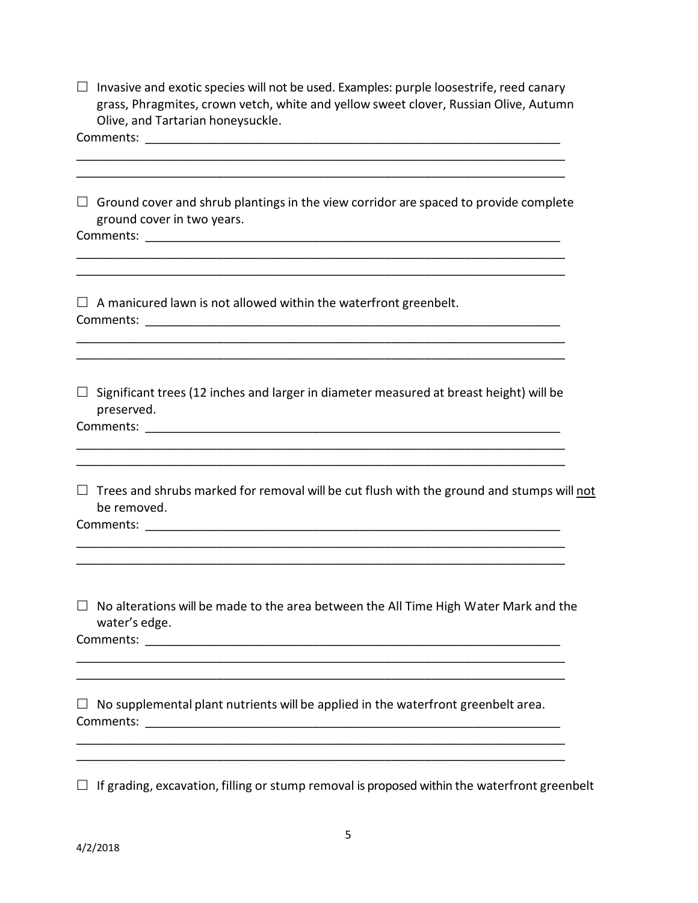| $\Box$ Invasive and exotic species will not be used. Examples: purple loosestrife, reed canary |
|------------------------------------------------------------------------------------------------|
| grass, Phragmites, crown vetch, white and yellow sweet clover, Russian Olive. Autumn           |
| Olive, and Tartarian honeysuckle.                                                              |

Comments: \_\_\_\_\_\_\_\_\_\_\_\_\_\_\_\_\_\_\_\_\_\_\_\_\_\_\_\_\_\_\_\_\_\_\_\_\_\_\_\_\_\_\_\_\_\_\_\_\_\_\_\_\_\_\_\_\_\_\_\_\_\_\_\_\_\_\_\_\_\_\_\_\_ \_\_\_\_\_\_\_\_\_\_\_\_\_\_\_\_\_\_\_\_\_\_\_\_\_\_\_\_\_\_\_\_\_\_\_\_\_\_\_\_\_\_\_\_\_\_\_\_\_\_\_\_\_\_\_\_\_\_\_\_\_\_\_\_\_\_\_\_\_\_\_\_\_  $\Box$  Ground cover and shrub plantings in the view corridor are spaced to provide complete ground cover in two years.  ${\sf Comments:}$  $\overline{\phantom{a}}$  ,  $\overline{\phantom{a}}$  ,  $\overline{\phantom{a}}$  ,  $\overline{\phantom{a}}$  ,  $\overline{\phantom{a}}$  ,  $\overline{\phantom{a}}$  ,  $\overline{\phantom{a}}$  ,  $\overline{\phantom{a}}$  ,  $\overline{\phantom{a}}$  ,  $\overline{\phantom{a}}$  ,  $\overline{\phantom{a}}$  ,  $\overline{\phantom{a}}$  ,  $\overline{\phantom{a}}$  ,  $\overline{\phantom{a}}$  ,  $\overline{\phantom{a}}$  ,  $\overline{\phantom{a}}$ \_\_\_\_\_\_\_\_\_\_\_\_\_\_\_\_\_\_\_\_\_\_\_\_\_\_\_\_\_\_\_\_\_\_\_\_\_\_\_\_\_\_\_\_\_\_\_\_\_\_\_\_\_\_\_\_\_\_\_\_\_\_\_\_\_\_\_\_\_\_\_\_\_  $\Box$  A manicured lawn is not allowed within the waterfront greenbelt. Comments: with the comments of the community of the community of the community of the community of the community of the community of the community of the community of the community of the community of the community of the \_\_\_\_\_\_\_\_\_\_\_\_\_\_\_\_\_\_\_\_\_\_\_\_\_\_\_\_\_\_\_\_\_\_\_\_\_\_\_\_\_\_\_\_\_\_\_\_\_\_\_\_\_\_\_\_\_\_\_\_\_\_\_\_\_\_\_\_\_\_\_\_\_  $\Box$  Significant trees (12 inches and larger in diameter measured at breast height) will be preserved. Comments: with the comments of the community of the community of the community of the community of the community of the community of the community of the community of the community of the community of the community of the \_\_\_\_\_\_\_\_\_\_\_\_\_\_\_\_\_\_\_\_\_\_\_\_\_\_\_\_\_\_\_\_\_\_\_\_\_\_\_\_\_\_\_\_\_\_\_\_\_\_\_\_\_\_\_\_\_\_\_\_\_\_\_\_\_\_\_\_\_\_\_\_\_ \_\_\_\_\_\_\_\_\_\_\_\_\_\_\_\_\_\_\_\_\_\_\_\_\_\_\_\_\_\_\_\_\_\_\_\_\_\_\_\_\_\_\_\_\_\_\_\_\_\_\_\_\_\_\_\_\_\_\_\_\_\_\_\_\_\_\_\_\_\_\_\_\_  $\Box$  Trees and shrubs marked for removal will be cut flush with the ground and stumps will not be removed. Comments: \_\_\_\_\_\_\_\_\_\_\_\_\_\_\_\_\_\_\_\_\_\_\_\_\_\_\_\_\_\_\_\_\_\_\_\_\_\_\_\_\_\_\_\_\_\_\_\_\_\_\_\_\_\_\_\_\_\_\_\_\_\_ \_\_\_\_\_\_\_\_\_\_\_\_\_\_\_\_\_\_\_\_\_\_\_\_\_\_\_\_\_\_\_\_\_\_\_\_\_\_\_\_\_\_\_\_\_\_\_\_\_\_\_\_\_\_\_\_\_\_\_\_\_\_\_\_\_\_\_\_\_\_\_\_\_  $\Box$  No alterations will be made to the area between the All Time High Water Mark and the water's edge. Comments: \_\_\_\_\_\_\_\_\_\_\_\_\_\_\_\_\_\_\_\_\_\_\_\_\_\_\_\_\_\_\_\_\_\_\_\_\_\_\_\_\_\_\_\_\_\_\_\_\_\_\_\_\_\_\_\_\_\_\_\_\_\_\_\_\_\_\_\_\_\_\_\_\_ \_\_\_\_\_\_\_\_\_\_\_\_\_\_\_\_\_\_\_\_\_\_\_\_\_\_\_\_\_\_\_\_\_\_\_\_\_\_\_\_\_\_\_\_\_\_\_\_\_\_\_\_\_\_\_\_\_\_\_\_\_\_\_\_\_\_\_\_\_\_\_\_\_  $\Box$  No supplemental plant nutrients will be applied in the waterfront greenbelt area. Comments: with the comments of the community of the community of the community of the community of the community of the community of the community of the community of the community of the community of the community of the \_\_\_\_\_\_\_\_\_\_\_\_\_\_\_\_\_\_\_\_\_\_\_\_\_\_\_\_\_\_\_\_\_\_\_\_\_\_\_\_\_\_\_\_\_\_\_\_\_\_\_\_\_\_\_\_\_\_\_\_\_\_\_\_\_\_\_\_\_\_\_\_\_ \_\_\_\_\_\_\_\_\_\_\_\_\_\_\_\_\_\_\_\_\_\_\_\_\_\_\_\_\_\_\_\_\_\_\_\_\_\_\_\_\_\_\_\_\_\_\_\_\_\_\_\_\_\_\_\_\_\_\_\_\_\_\_\_\_\_\_\_\_\_\_\_\_

 $\Box$  If grading, excavation, filling or stump removal is proposed within the waterfront greenbelt